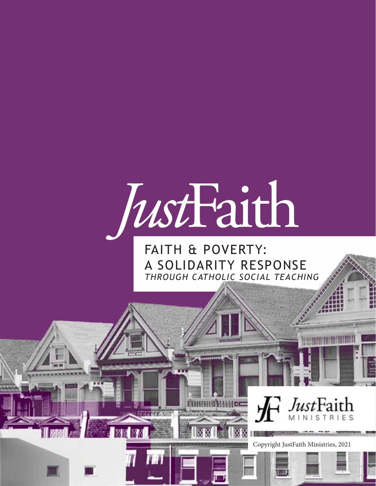

# FAITH & POVERTY: A SOLIDARITY RESPONSE *THROUGH CATHOLIC SOCIAL TEACHING*

# *Just*Fai Copyright JustFaith Ministries, 2021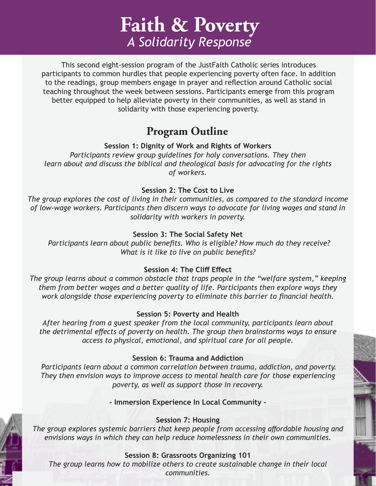**Faith & Poverty** *A Solidarity Response*

This second eight-session program of the JustFaith Catholic series introduces participants to common hurdles that people experiencing poverty often face. In addition to the readings, group members engage in prayer and reflection around Catholic social teaching throughout the week between sessions. Participants emerge from this program better equipped to help alleviate poverty in their communities, as well as stand in solidarity with those experiencing poverty.

### **Program Outline**

#### **Session 1: Dignity of Work and Rights of Workers**

*Participants review group guidelines for holy conversations. They then learn about and discuss the biblical and theological basis for advocating for the rights of workers.*

#### **Session 2: The Cost to Live**

*The group explores the cost of living in their communities, as compared to the standard income of low-wage workers. Participants then discern ways to advocate for living wages and stand in solidarity with workers in poverty.*

#### **Session 3: The Social Safety Net**

 *Participants learn about public benefits. Who is eligible? How much do they receive? What is it like to live on public benefits?* 

#### **Session 4: The Cliff Effect**

*The group learns about a common obstacle that traps people in the "welfare system," keeping them from better wages and a better quality of life. Participants then explore ways they work alongside those experiencing poverty to eliminate this barrier to financial health.* 

#### **Session 5: Poverty and Health**

*After hearing from a guest speaker from the local community, participants learn about the detrimental effects of poverty on health. The group then brainstorms ways to ensure access to physical, emotional, and spiritual care for all people.* 

#### **Session 6: Trauma and Addiction**

 *Participants learn about a common correlation between trauma, addiction, and poverty. They then envision ways to improve access to mental health care for those experiencing poverty, as well as support those in recovery.* 

**- Immersion Experience In Local Community -**

#### **Session 7: Housing**

*The group explores systemic barriers that keep people from accessing affordable housing and envisions ways in which they can help reduce homelessness in their own communities.*

#### **Session 8: Grassroots Organizing 101**

*The group learns how to mobilize others to create sustainable change in their local communities.*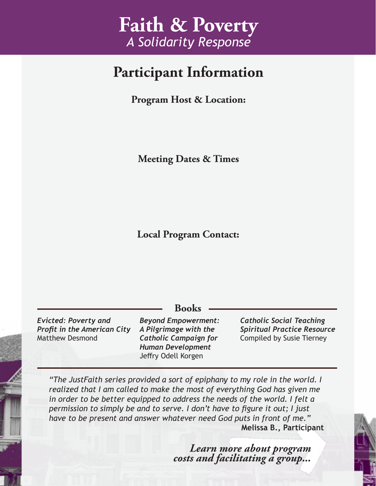# **Faith & Poverty** *A Solidarity Response*

# **Participant Information**

**Program Host & Location:**

**Meeting Dates & Times**

**Local Program Contact:**

*Evicted: Poverty and Profit in the American City* Matthew Desmond

*Beyond Empowerment: A Pilgrimage with the Catholic Campaign for Human Development* Jeffry Odell Korgen

**Books**

*Catholic Social Teaching Spiritual Practice Resource*  Compiled by Susie Tierney

*"The JustFaith series provided a sort of epiphany to my role in the world. I realized that I am called to make the most of everything God has given me*  in order to be better equipped to address the needs of the world. I felt a *permission to simply be and to serve. I don't have to figure it out; I just have to be present and answer whatever need God puts in front of me."* **Melissa B., Participant**

*Learn more about program costs and facilitating a group...*